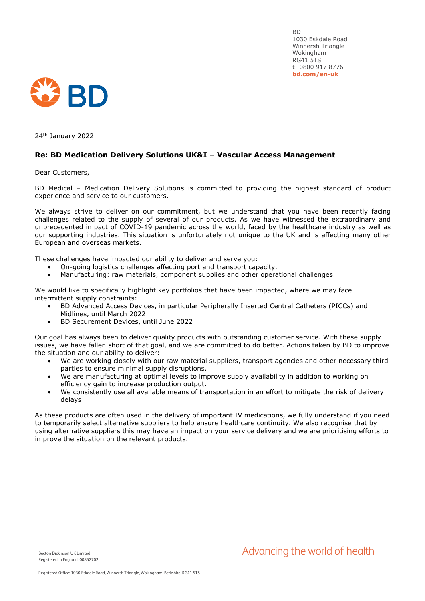BD 1030 Eskdale Road Winnersh Triangle Wokingham RG41 5TS t: 0800 917 8776 **bd.com/en-uk**



24th January 2022

## **Re: BD Medication Delivery Solutions UK&I – Vascular Access Management**

Dear Customers,

BD Medical – Medication Delivery Solutions is committed to providing the highest standard of product experience and service to our customers.

We always strive to deliver on our commitment, but we understand that you have been recently facing challenges related to the supply of several of our products. As we have witnessed the extraordinary and unprecedented impact of COVID-19 pandemic across the world, faced by the healthcare industry as well as our supporting industries. This situation is unfortunately not unique to the UK and is affecting many other European and overseas markets.

These challenges have impacted our ability to deliver and serve you:

- On-going logistics challenges affecting port and transport capacity.
- Manufacturing: raw materials, component supplies and other operational challenges.

We would like to specifically highlight key portfolios that have been impacted, where we may face intermittent supply constraints:

- BD Advanced Access Devices, in particular Peripherally Inserted Central Catheters (PICCs) and Midlines, until March 2022
- BD Securement Devices, until June 2022

Our goal has always been to deliver quality products with outstanding customer service. With these supply issues, we have fallen short of that goal, and we are committed to do better. Actions taken by BD to improve the situation and our ability to deliver:

- We are working closely with our raw material suppliers, transport agencies and other necessary third parties to ensure minimal supply disruptions.
- We are manufacturing at optimal levels to improve supply availability in addition to working on efficiency gain to increase production output.
- We consistently use all available means of transportation in an effort to mitigate the risk of delivery delays

As these products are often used in the delivery of important IV medications, we fully understand if you need to temporarily select alternative suppliers to help ensure healthcare continuity. We also recognise that by using alternative suppliers this may have an impact on your service delivery and we are prioritising efforts to improve the situation on the relevant products.